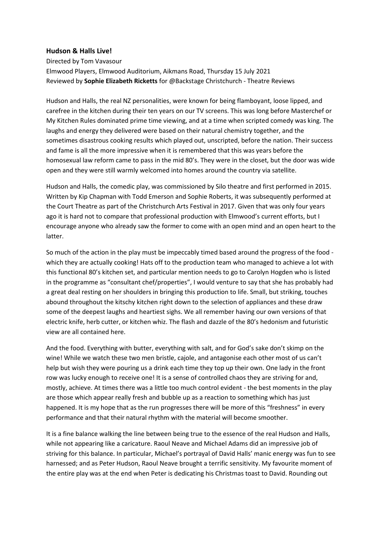## **Hudson & Halls Live!**

Directed by Tom Vavasour Elmwood Players, Elmwood Auditorium, Aikmans Road, Thursday 15 July 2021 Reviewed by **Sophie Elizabeth Ricketts** for @Backstage Christchurch - Theatre Reviews

Hudson and Halls, the real NZ personalities, were known for being flamboyant, loose lipped, and carefree in the kitchen during their ten years on our TV screens. This was long before Masterchef or My Kitchen Rules dominated prime time viewing, and at a time when scripted comedy was king. The laughs and energy they delivered were based on their natural chemistry together, and the sometimes disastrous cooking results which played out, unscripted, before the nation. Their success and fame is all the more impressive when it is remembered that this was years before the homosexual law reform came to pass in the mid 80's. They were in the closet, but the door was wide open and they were still warmly welcomed into homes around the country via satellite.

Hudson and Halls, the comedic play, was commissioned by Silo theatre and first performed in 2015. Written by Kip Chapman with Todd Emerson and Sophie Roberts, it was subsequently performed at the Court Theatre as part of the Christchurch Arts Festival in 2017. Given that was only four years ago it is hard not to compare that professional production with Elmwood's current efforts, but I encourage anyone who already saw the former to come with an open mind and an open heart to the latter.

So much of the action in the play must be impeccably timed based around the progress of the food which they are actually cooking! Hats off to the production team who managed to achieve a lot with this functional 80's kitchen set, and particular mention needs to go to Carolyn Hogden who is listed in the programme as "consultant chef/properties", I would venture to say that she has probably had a great deal resting on her shoulders in bringing this production to life. Small, but striking, touches abound throughout the kitschy kitchen right down to the selection of appliances and these draw some of the deepest laughs and heartiest sighs. We all remember having our own versions of that electric knife, herb cutter, or kitchen whiz. The flash and dazzle of the 80's hedonism and futuristic view are all contained here.

And the food. Everything with butter, everything with salt, and for God's sake don't skimp on the wine! While we watch these two men bristle, cajole, and antagonise each other most of us can't help but wish they were pouring us a drink each time they top up their own. One lady in the front row was lucky enough to receive one! It is a sense of controlled chaos they are striving for and, mostly, achieve. At times there was a little too much control evident - the best moments in the play are those which appear really fresh and bubble up as a reaction to something which has just happened. It is my hope that as the run progresses there will be more of this "freshness" in every performance and that their natural rhythm with the material will become smoother.

It is a fine balance walking the line between being true to the essence of the real Hudson and Halls, while not appearing like a caricature. Raoul Neave and Michael Adams did an impressive job of striving for this balance. In particular, Michael's portrayal of David Halls' manic energy was fun to see harnessed; and as Peter Hudson, Raoul Neave brought a terrific sensitivity. My favourite moment of the entire play was at the end when Peter is dedicating his Christmas toast to David. Rounding out